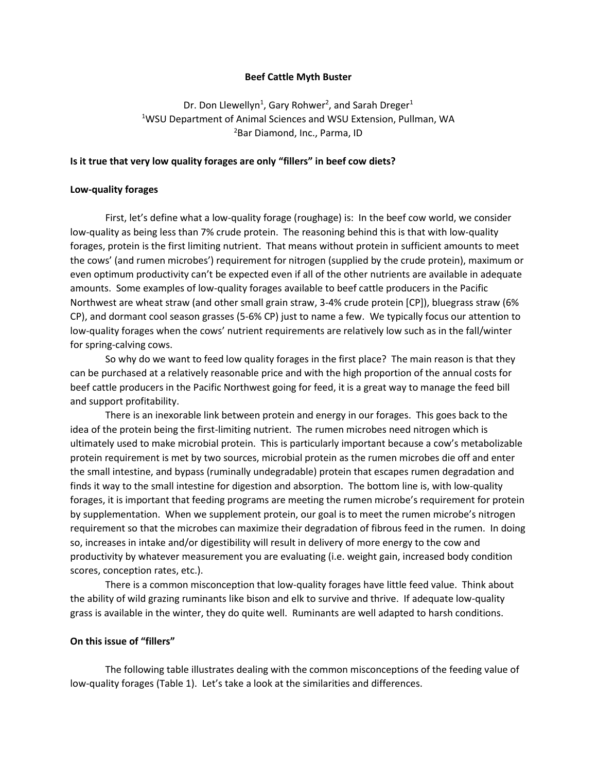## **Beef Cattle Myth Buster**

Dr. Don Llewellyn<sup>1</sup>, Gary Rohwer<sup>2</sup>, and Sarah Dreger<sup>1</sup> <sup>1</sup>WSU Department of Animal Sciences and WSU Extension, Pullman, WA <sup>2</sup>Bar Diamond, Inc., Parma, ID

## **Is it true that very low quality forages are only "fillers" in beef cow diets?**

## **Low-quality forages**

First, let's define what a low-quality forage (roughage) is: In the beef cow world, we consider low-quality as being less than 7% crude protein. The reasoning behind this is that with low-quality forages, protein is the first limiting nutrient. That means without protein in sufficient amounts to meet the cows' (and rumen microbes') requirement for nitrogen (supplied by the crude protein), maximum or even optimum productivity can't be expected even if all of the other nutrients are available in adequate amounts. Some examples of low-quality forages available to beef cattle producers in the Pacific Northwest are wheat straw (and other small grain straw, 3-4% crude protein [CP]), bluegrass straw (6% CP), and dormant cool season grasses (5-6% CP) just to name a few. We typically focus our attention to low-quality forages when the cows' nutrient requirements are relatively low such as in the fall/winter for spring-calving cows.

So why do we want to feed low quality forages in the first place? The main reason is that they can be purchased at a relatively reasonable price and with the high proportion of the annual costs for beef cattle producers in the Pacific Northwest going for feed, it is a great way to manage the feed bill and support profitability.

There is an inexorable link between protein and energy in our forages. This goes back to the idea of the protein being the first-limiting nutrient. The rumen microbes need nitrogen which is ultimately used to make microbial protein. This is particularly important because a cow's metabolizable protein requirement is met by two sources, microbial protein as the rumen microbes die off and enter the small intestine, and bypass (ruminally undegradable) protein that escapes rumen degradation and finds it way to the small intestine for digestion and absorption. The bottom line is, with low-quality forages, it is important that feeding programs are meeting the rumen microbe's requirement for protein by supplementation. When we supplement protein, our goal is to meet the rumen microbe's nitrogen requirement so that the microbes can maximize their degradation of fibrous feed in the rumen. In doing so, increases in intake and/or digestibility will result in delivery of more energy to the cow and productivity by whatever measurement you are evaluating (i.e. weight gain, increased body condition scores, conception rates, etc.).

There is a common misconception that low-quality forages have little feed value. Think about the ability of wild grazing ruminants like bison and elk to survive and thrive. If adequate low-quality grass is available in the winter, they do quite well. Ruminants are well adapted to harsh conditions.

## **On this issue of "fillers"**

The following table illustrates dealing with the common misconceptions of the feeding value of low-quality forages (Table 1). Let's take a look at the similarities and differences.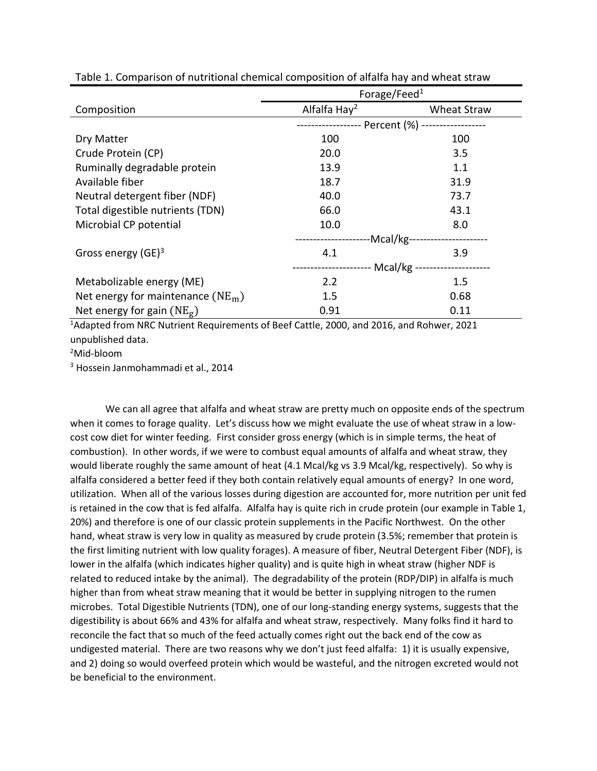|                                     | Forage/Feed $1$                                         |                    |
|-------------------------------------|---------------------------------------------------------|--------------------|
| Composition                         | Alfalfa Hay <sup>2</sup>                                | <b>Wheat Straw</b> |
|                                     |                                                         |                    |
| Dry Matter                          | 100                                                     | 100                |
| Crude Protein (CP)                  | 20.0                                                    | $3.5\,$            |
| Ruminally degradable protein        | 13.9                                                    | 1.1                |
| Available fiber                     | 18.7                                                    | 31.9               |
| Neutral detergent fiber (NDF)       | 40.0                                                    | 73.7               |
| Total digestible nutrients (TDN)    | 66.0                                                    | 43.1               |
| Microbial CP potential              | 10.0                                                    | 8.0                |
|                                     | -Mcal/kg--                                              |                    |
| Gross energy $(GE)^3$               | 4.1                                                     | 3.9                |
|                                     | - Mcal/kg ---------------------<br>-------------------- |                    |
| Metabolizable energy (ME)           | 2.2                                                     | $1.5\,$            |
| Net energy for maintenance $(NE_m)$ | 1.5                                                     | 0.68               |
| Net energy for gain $(NE_g)$        | 0.91                                                    | 0.11               |

Table 1. Comparison of nutritional chemical composition of alfalfa hay and wheat straw

<sup>1</sup>Adapted from NRC Nutrient Requirements of Beef Cattle, 2000, and 2016, and Rohwer, 2021 unpublished data.

<sup>2</sup>Mid-bloom

<sup>3</sup> Hossein Janmohammadi et al., 2014

We can all agree that alfalfa and wheat straw are pretty much on opposite ends of the spectrum when it comes to forage quality. Let's discuss how we might evaluate the use of wheat straw in a lowcost cow diet for winter feeding. First consider gross energy (which is in simple terms, the heat of combustion). In other words, if we were to combust equal amounts of alfalfa and wheat straw, they would liberate roughly the same amount of heat (4.1 Mcal/kg vs 3.9 Mcal/kg, respectively). So why is alfalfa considered a better feed if they both contain relatively equal amounts of energy? In one word, utilization. When all of the various losses during digestion are accounted for, more nutrition per unit fed is retained in the cow that is fed alfalfa. Alfalfa hay is quite rich in crude protein (our example in Table 1, 20%) and therefore is one of our classic protein supplements in the Pacific Northwest. On the other hand, wheat straw is very low in quality as measured by crude protein (3.5%; remember that protein is the first limiting nutrient with low quality forages). A measure of fiber, Neutral Detergent Fiber (NDF), is lower in the alfalfa (which indicates higher quality) and is quite high in wheat straw (higher NDF is related to reduced intake by the animal). The degradability of the protein (RDP/DIP) in alfalfa is much higher than from wheat straw meaning that it would be better in supplying nitrogen to the rumen microbes. Total Digestible Nutrients (TDN), one of our long-standing energy systems, suggests that the digestibility is about 66% and 43% for alfalfa and wheat straw, respectively. Many folks find it hard to reconcile the fact that so much of the feed actually comes right out the back end of the cow as undigested material. There are two reasons why we don't just feed alfalfa: 1) it is usually expensive, and 2) doing so would overfeed protein which would be wasteful, and the nitrogen excreted would not be beneficial to the environment.